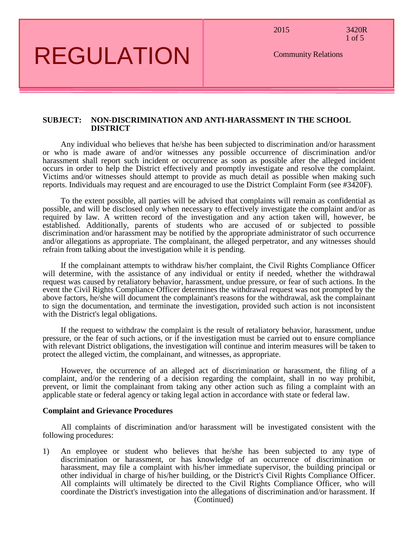2015 3420R 1 of 5

Community Relations

## REGULATION

## **SUBJECT: NON-DISCRIMINATION AND ANTI-HARASSMENT IN THE SCHOOL DISTRICT**

Any individual who believes that he/she has been subjected to discrimination and/or harassment or who is made aware of and/or witnesses any possible occurrence of discrimination and/or harassment shall report such incident or occurrence as soon as possible after the alleged incident occurs in order to help the District effectively and promptly investigate and resolve the complaint. Victims and/or witnesses should attempt to provide as much detail as possible when making such reports. Individuals may request and are encouraged to use the District Complaint Form (see #3420F).

To the extent possible, all parties will be advised that complaints will remain as confidential as possible, and will be disclosed only when necessary to effectively investigate the complaint and/or as required by law. A written record of the investigation and any action taken will, however, be established. Additionally, parents of students who are accused of or subjected to possible discrimination and/or harassment may be notified by the appropriate administrator of such occurrence and/or allegations as appropriate. The complainant, the alleged perpetrator, and any witnesses should refrain from talking about the investigation while it is pending.

If the complainant attempts to withdraw his/her complaint, the Civil Rights Compliance Officer will determine, with the assistance of any individual or entity if needed, whether the withdrawal request was caused by retaliatory behavior, harassment, undue pressure, or fear of such actions. In the event the Civil Rights Compliance Officer determines the withdrawal request was not prompted by the above factors, he/she will document the complainant's reasons for the withdrawal, ask the complainant to sign the documentation, and terminate the investigation, provided such action is not inconsistent with the District's legal obligations.

If the request to withdraw the complaint is the result of retaliatory behavior, harassment, undue pressure, or the fear of such actions, or if the investigation must be carried out to ensure compliance with relevant District obligations, the investigation will continue and interim measures will be taken to protect the alleged victim, the complainant, and witnesses, as appropriate.

However, the occurrence of an alleged act of discrimination or harassment, the filing of a complaint, and/or the rendering of a decision regarding the complaint, shall in no way prohibit, prevent, or limit the complainant from taking any other action such as filing a complaint with an applicable state or federal agency or taking legal action in accordance with state or federal law.

## **Complaint and Grievance Procedures**

All complaints of discrimination and/or harassment will be investigated consistent with the following procedures:

1) An employee or student who believes that he/she has been subjected to any type of discrimination or harassment, or has knowledge of an occurrence of discrimination or harassment, may file a complaint with his/her immediate supervisor, the building principal or other individual in charge of his/her building, or the District's Civil Rights Compliance Officer. All complaints will ultimately be directed to the Civil Rights Compliance Officer, who will coordinate the District's investigation into the allegations of discrimination and/or harassment. If (Continued)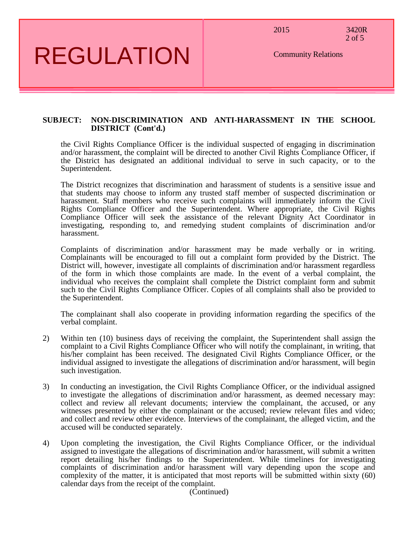2015 3420R

2 of 5

## REGULATION

Community Relations

#### **SUBJECT: NON-DISCRIMINATION AND ANTI-HARASSMENT IN THE SCHOOL DISTRICT (Cont'd.)**

the Civil Rights Compliance Officer is the individual suspected of engaging in discrimination and/or harassment, the complaint will be directed to another Civil Rights Compliance Officer, if the District has designated an additional individual to serve in such capacity, or to the Superintendent.

The District recognizes that discrimination and harassment of students is a sensitive issue and that students may choose to inform any trusted staff member of suspected discrimination or harassment. Staff members who receive such complaints will immediately inform the Civil Rights Compliance Officer and the Superintendent. Where appropriate, the Civil Rights Compliance Officer will seek the assistance of the relevant Dignity Act Coordinator in investigating, responding to, and remedying student complaints of discrimination and/or harassment.

Complaints of discrimination and/or harassment may be made verbally or in writing. Complainants will be encouraged to fill out a complaint form provided by the District. The District will, however, investigate all complaints of discrimination and/or harassment regardless of the form in which those complaints are made. In the event of a verbal complaint, the individual who receives the complaint shall complete the District complaint form and submit such to the Civil Rights Compliance Officer. Copies of all complaints shall also be provided to the Superintendent.

The complainant shall also cooperate in providing information regarding the specifics of the verbal complaint.

- 2) Within ten (10) business days of receiving the complaint, the Superintendent shall assign the complaint to a Civil Rights Compliance Officer who will notify the complainant, in writing, that his/her complaint has been received. The designated Civil Rights Compliance Officer, or the individual assigned to investigate the allegations of discrimination and/or harassment, will begin such investigation.
- 3) In conducting an investigation, the Civil Rights Compliance Officer, or the individual assigned to investigate the allegations of discrimination and/or harassment, as deemed necessary may: collect and review all relevant documents; interview the complainant, the accused, or any witnesses presented by either the complainant or the accused; review relevant files and video; and collect and review other evidence. Interviews of the complainant, the alleged victim, and the accused will be conducted separately.
- 4) Upon completing the investigation, the Civil Rights Compliance Officer, or the individual assigned to investigate the allegations of discrimination and/or harassment, will submit a written report detailing his/her findings to the Superintendent. While timelines for investigating complaints of discrimination and/or harassment will vary depending upon the scope and complexity of the matter, it is anticipated that most reports will be submitted within sixty (60) calendar days from the receipt of the complaint.

(Continued)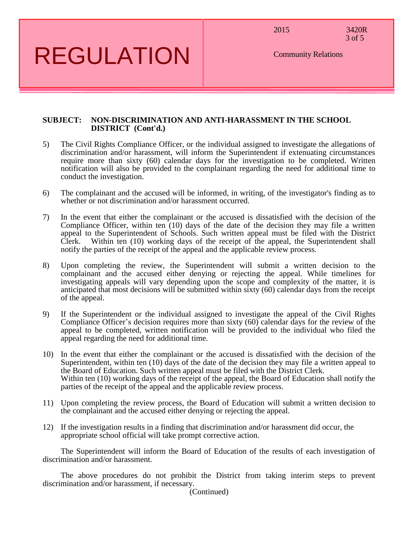2015 3420R

3 of 5

Community Relations

# REGULATION

## **SUBJECT: NON-DISCRIMINATION AND ANTI-HARASSMENT IN THE SCHOOL DISTRICT (Cont'd.)**

- 5) The Civil Rights Compliance Officer, or the individual assigned to investigate the allegations of discrimination and/or harassment, will inform the Superintendent if extenuating circumstances require more than sixty (60) calendar days for the investigation to be completed. Written notification will also be provided to the complainant regarding the need for additional time to conduct the investigation.
- 6) The complainant and the accused will be informed, in writing, of the investigator's finding as to whether or not discrimination and/or harassment occurred.
- 7) In the event that either the complainant or the accused is dissatisfied with the decision of the Compliance Officer, within ten  $(10)$  days of the date of the decision they may file a written appeal to the Superintendent of Schools. Such written appeal must be filed with the District Clerk. Within ten (10) working days of the receipt of the appeal, the Superintendent shall notify the parties of the receipt of the appeal and the applicable review process.
- 8) Upon completing the review, the Superintendent will submit a written decision to the complainant and the accused either denying or rejecting the appeal. While timelines for investigating appeals will vary depending upon the scope and complexity of the matter, it is anticipated that most decisions will be submitted within sixty (60) calendar days from the receipt of the appeal.
- 9) If the Superintendent or the individual assigned to investigate the appeal of the Civil Rights Compliance Officer's decision requires more than sixty (60) calendar days for the review of the appeal to be completed, written notification will be provided to the individual who filed the appeal regarding the need for additional time.
- 10) In the event that either the complainant or the accused is dissatisfied with the decision of the Superintendent, within ten  $(10)$  days of the date of the decision they may file a written appeal to the Board of Education. Such written appeal must be filed with the District Clerk. Within ten (10) working days of the receipt of the appeal, the Board of Education shall notify the parties of the receipt of the appeal and the applicable review process.
- 11) Upon completing the review process, the Board of Education will submit a written decision to the complainant and the accused either denying or rejecting the appeal.
- 12) If the investigation results in a finding that discrimination and/or harassment did occur, the appropriate school official will take prompt corrective action.

The Superintendent will inform the Board of Education of the results of each investigation of discrimination and/or harassment.

The above procedures do not prohibit the District from taking interim steps to prevent discrimination and/or harassment, if necessary.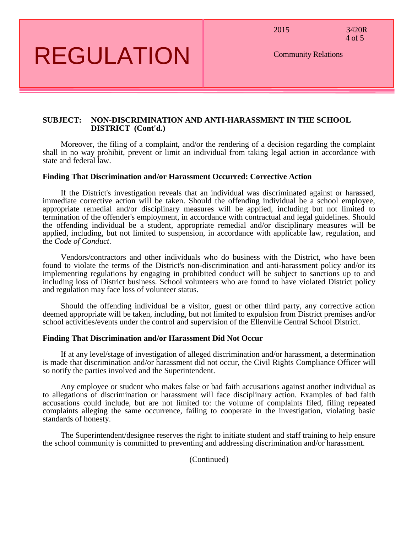2015 3420R

4 of 5

REGULATION

Community Relations

#### **SUBJECT: NON-DISCRIMINATION AND ANTI-HARASSMENT IN THE SCHOOL DISTRICT (Cont'd.)**

Moreover, the filing of a complaint, and/or the rendering of a decision regarding the complaint shall in no way prohibit, prevent or limit an individual from taking legal action in accordance with state and federal law.

#### **Finding That Discrimination and/or Harassment Occurred: Corrective Action**

If the District's investigation reveals that an individual was discriminated against or harassed, immediate corrective action will be taken. Should the offending individual be a school employee, appropriate remedial and/or disciplinary measures will be applied, including but not limited to termination of the offender's employment, in accordance with contractual and legal guidelines. Should the offending individual be a student, appropriate remedial and/or disciplinary measures will be applied, including, but not limited to suspension, in accordance with applicable law, regulation, and the *Code of Conduct*.

Vendors/contractors and other individuals who do business with the District, who have been found to violate the terms of the District's non-discrimination and anti-harassment policy and/or its implementing regulations by engaging in prohibited conduct will be subject to sanctions up to and including loss of District business. School volunteers who are found to have violated District policy and regulation may face loss of volunteer status.

Should the offending individual be a visitor, guest or other third party, any corrective action deemed appropriate will be taken, including, but not limited to expulsion from District premises and/or school activities/events under the control and supervision of the Ellenville Central School District.

#### **Finding That Discrimination and/or Harassment Did Not Occur**

If at any level/stage of investigation of alleged discrimination and/or harassment, a determination is made that discrimination and/or harassment did not occur, the Civil Rights Compliance Officer will so notify the parties involved and the Superintendent.

Any employee or student who makes false or bad faith accusations against another individual as to allegations of discrimination or harassment will face disciplinary action. Examples of bad faith accusations could include, but are not limited to: the volume of complaints filed, filing repeated complaints alleging the same occurrence, failing to cooperate in the investigation, violating basic standards of honesty.

The Superintendent/designee reserves the right to initiate student and staff training to help ensure the school community is committed to preventing and addressing discrimination and/or harassment.

(Continued)